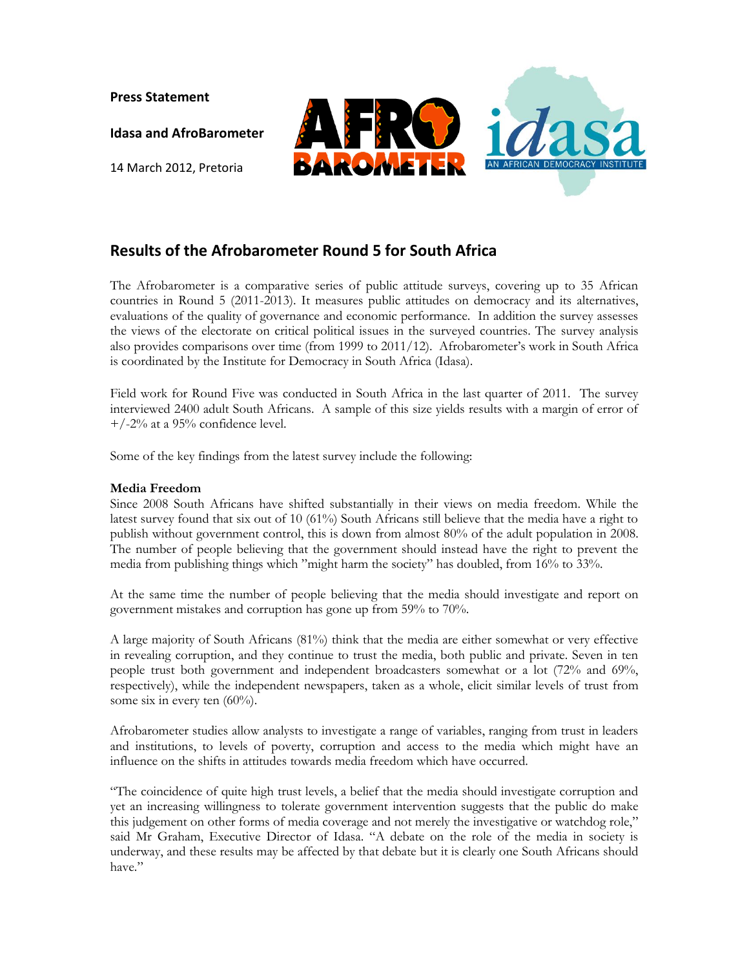**Press Statement** 

**Idasa and AfroBarometer**

14 March 2012, Pretoria



## **Results of the Afrobarometer Round 5 for South Africa**

The Afrobarometer is a comparative series of public attitude surveys, covering up to 35 African countries in Round 5 (2011-2013). It measures public attitudes on democracy and its alternatives, evaluations of the quality of governance and economic performance. In addition the survey assesses the views of the electorate on critical political issues in the surveyed countries. The survey analysis also provides comparisons over time (from 1999 to 2011/12). Afrobarometer's work in South Africa is coordinated by the Institute for Democracy in South Africa (Idasa).

Field work for Round Five was conducted in South Africa in the last quarter of 2011. The survey interviewed 2400 adult South Africans. A sample of this size yields results with a margin of error of  $+/-2%$  at a 95% confidence level.

Some of the key findings from the latest survey include the following:

## **Media Freedom**

Since 2008 South Africans have shifted substantially in their views on media freedom. While the latest survey found that six out of 10 (61%) South Africans still believe that the media have a right to publish without government control, this is down from almost 80% of the adult population in 2008. The number of people believing that the government should instead have the right to prevent the media from publishing things which "might harm the society" has doubled, from 16% to 33%.

At the same time the number of people believing that the media should investigate and report on government mistakes and corruption has gone up from 59% to 70%.

A large majority of South Africans (81%) think that the media are either somewhat or very effective in revealing corruption, and they continue to trust the media, both public and private. Seven in ten people trust both government and independent broadcasters somewhat or a lot (72% and 69%, respectively), while the independent newspapers, taken as a whole, elicit similar levels of trust from some six in every ten  $(60\%)$ .

Afrobarometer studies allow analysts to investigate a range of variables, ranging from trust in leaders and institutions, to levels of poverty, corruption and access to the media which might have an influence on the shifts in attitudes towards media freedom which have occurred.

"The coincidence of quite high trust levels, a belief that the media should investigate corruption and yet an increasing willingness to tolerate government intervention suggests that the public do make this judgement on other forms of media coverage and not merely the investigative or watchdog role," said Mr Graham, Executive Director of Idasa. "A debate on the role of the media in society is underway, and these results may be affected by that debate but it is clearly one South Africans should have"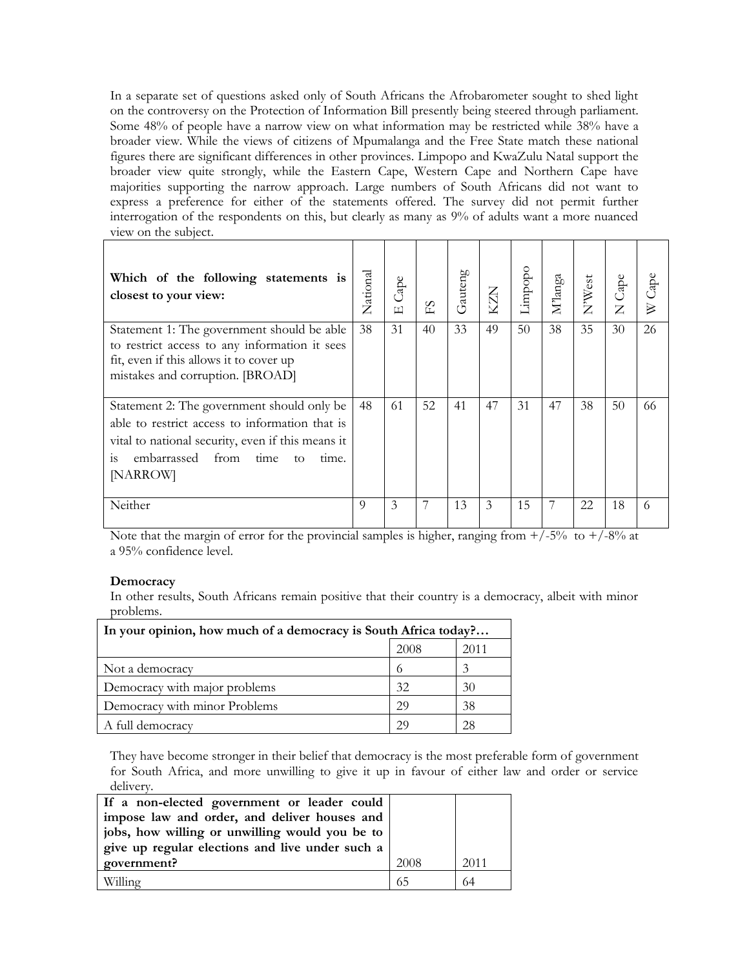In a separate set of questions asked only of South Africans the Afrobarometer sought to shed light on the controversy on the Protection of Information Bill presently being steered through parliament. Some 48% of people have a narrow view on what information may be restricted while 38% have a broader view. While the views of citizens of Mpumalanga and the Free State match these national figures there are significant differences in other provinces. Limpopo and KwaZulu Natal support the broader view quite strongly, while the Eastern Cape, Western Cape and Northern Cape have majorities supporting the narrow approach. Large numbers of South Africans did not want to express a preference for either of the statements offered. The survey did not permit further interrogation of the respondents on this, but clearly as many as 9% of adults want a more nuanced view on the subject.

| Which of the following statements is<br>closest to your view:                                                                                                                                                               | National | Cape<br>$\boxed{\bot}$ | ΕS | Gauteng |    | Limpopo | $M$ langa | N'West | N Cape | $2$ ape |
|-----------------------------------------------------------------------------------------------------------------------------------------------------------------------------------------------------------------------------|----------|------------------------|----|---------|----|---------|-----------|--------|--------|---------|
| Statement 1: The government should be able<br>to restrict access to any information it sees<br>fit, even if this allows it to cover up<br>mistakes and corruption. [BROAD]                                                  | 38       | 31                     | 40 | 33      | 49 | 50      | 38        | 35     | 30     | 26      |
| Statement 2: The government should only be<br>able to restrict access to information that is<br>vital to national security, even if this means it<br>embarrassed from<br>$\overline{1}S$<br>time<br>time.<br>to<br>[NARROW] |          | 61                     | 52 | 41      | 47 | 31      | 47        | 38     | 50     | 66      |
| Neither                                                                                                                                                                                                                     | 9        | 3                      | 7  | 13      | 3  | 15      | 7         | 22     | 18     | 6       |

Note that the margin of error for the provincial samples is higher, ranging from  $+/-5\%$  to  $+/-8\%$  at a 95% confidence level.

## **Democracy**

In other results, South Africans remain positive that their country is a democracy, albeit with minor problems.

| In your opinion, how much of a democracy is South Africa today? |          |      |  |  |
|-----------------------------------------------------------------|----------|------|--|--|
|                                                                 | 2008     | 2011 |  |  |
| Not a democracy                                                 | $^{(1)}$ |      |  |  |
| Democracy with major problems                                   | 32       | 30   |  |  |
| Democracy with minor Problems                                   | 29       | 38   |  |  |
| A full democracy                                                | 29       | 28   |  |  |

They have become stronger in their belief that democracy is the most preferable form of government for South Africa, and more unwilling to give it up in favour of either law and order or service delivery.

| If a non-elected government or leader could     |      |      |
|-------------------------------------------------|------|------|
| impose law and order, and deliver houses and    |      |      |
| jobs, how willing or unwilling would you be to  |      |      |
| give up regular elections and live under such a |      |      |
| government?                                     | 2008 | 2011 |
| Willing                                         | 65   | 64   |